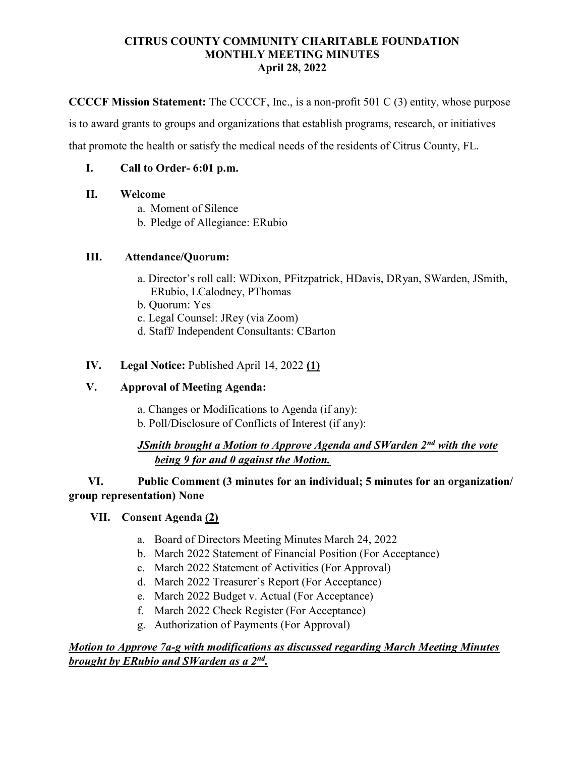#### CITRUS COUNTY COMMUNITY CHARITABLE FOUNDATION MONTHLY MEETING MINUTES April 28, 2022

CCCCF Mission Statement: The CCCCF, Inc., is a non-profit 501 C (3) entity, whose purpose

is to award grants to groups and organizations that establish programs, research, or initiatives

that promote the health or satisfy the medical needs of the residents of Citrus County, FL.

### I. Call to Order- 6:01 p.m.

### II. Welcome

- a. Moment of Silence
- b. Pledge of Allegiance: ERubio

### III. Attendance/Quorum:

- a. Director's roll call: WDixon, PFitzpatrick, HDavis, DRyan, SWarden, JSmith, ERubio, LCalodney, PThomas
- b. Quorum: Yes
- c. Legal Counsel: JRey (via Zoom)
- d. Staff/ Independent Consultants: CBarton

### IV. Legal Notice: Published April 14, 2022 (1)

### V. Approval of Meeting Agenda:

- a. Changes or Modifications to Agenda (if any):
- b. Poll/Disclosure of Conflicts of Interest (if any):

### JSmith brought a Motion to Approve Agenda and SWarden  $2<sup>nd</sup>$  with the vote being 9 for and 0 against the Motion.

## VI. Public Comment (3 minutes for an individual; 5 minutes for an organization/ group representation) None

# VII. Consent Agenda (2)

- a. Board of Directors Meeting Minutes March 24, 2022
- b. March 2022 Statement of Financial Position (For Acceptance)
- c. March 2022 Statement of Activities (For Approval)
- d. March 2022 Treasurer's Report (For Acceptance)
- e. March 2022 Budget v. Actual (For Acceptance)
- f. March 2022 Check Register (For Acceptance)
- g. Authorization of Payments (For Approval)

### Motion to Approve 7a-g with modifications as discussed regarding March Meeting Minutes brought by ERubio and SWarden as a 2nd.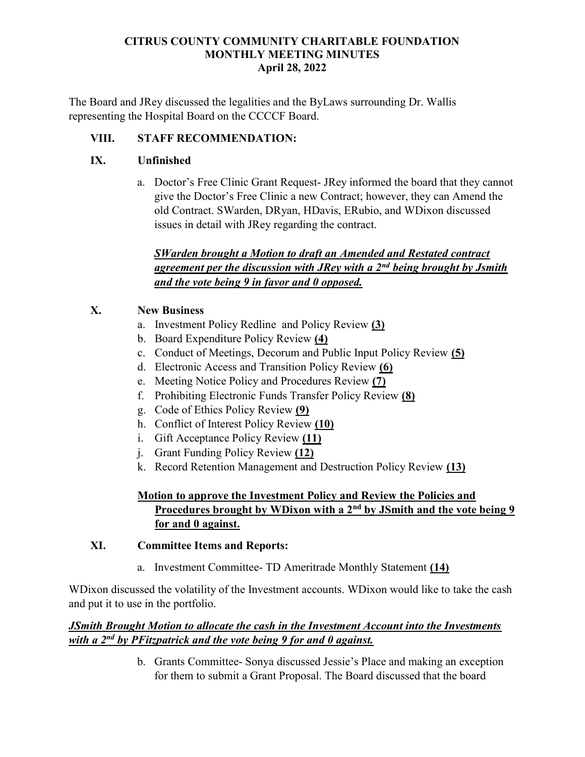### CITRUS COUNTY COMMUNITY CHARITABLE FOUNDATION MONTHLY MEETING MINUTES April 28, 2022

The Board and JRey discussed the legalities and the ByLaws surrounding Dr. Wallis representing the Hospital Board on the CCCCF Board.

# VIII. STAFF RECOMMENDATION:

# IX. Unfinished

a. Doctor's Free Clinic Grant Request- JRey informed the board that they cannot give the Doctor's Free Clinic a new Contract; however, they can Amend the old Contract. SWarden, DRyan, HDavis, ERubio, and WDixon discussed issues in detail with JRey regarding the contract.

## SWarden brought a Motion to draft an Amended and Restated contract agreement per the discussion with JRey with a  $2<sup>nd</sup>$  being brought by Jsmith and the vote being 9 in favor and 0 opposed.

# X. New Business

- a. Investment Policy Redline and Policy Review (3)
- b. Board Expenditure Policy Review (4)
- c. Conduct of Meetings, Decorum and Public Input Policy Review (5)
- d. Electronic Access and Transition Policy Review (6)
- e. Meeting Notice Policy and Procedures Review (7)
- f. Prohibiting Electronic Funds Transfer Policy Review (8)
- g. Code of Ethics Policy Review (9)
- h. Conflict of Interest Policy Review (10)
- i. Gift Acceptance Policy Review (11)
- j. Grant Funding Policy Review (12)
- k. Record Retention Management and Destruction Policy Review (13)

# Motion to approve the Investment Policy and Review the Policies and Procedures brought by WDixon with a 2<sup>nd</sup> by JSmith and the vote being 9 for and 0 against.

## XI. Committee Items and Reports:

a. Investment Committee- TD Ameritrade Monthly Statement (14)

WDixon discussed the volatility of the Investment accounts. WDixon would like to take the cash and put it to use in the portfolio.

## JSmith Brought Motion to allocate the cash in the Investment Account into the Investments with a  $2^{nd}$  by PFitzpatrick and the vote being 9 for and 0 against.

b. Grants Committee- Sonya discussed Jessie's Place and making an exception for them to submit a Grant Proposal. The Board discussed that the board